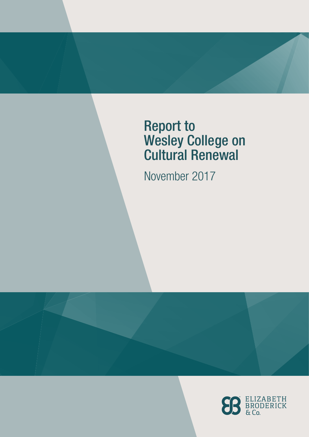# Report to Wesley College on Cultural Renewal

November 2017

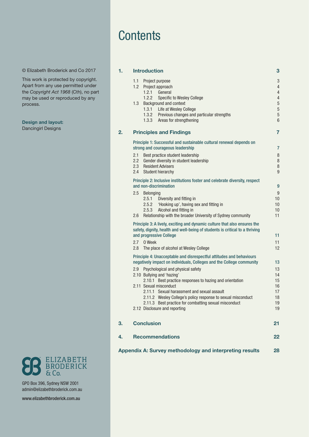## **Contents**

© Elizabeth Broderick and Co 2017

This work is protected by copyright. Apart from any use permitted under the *Copyright Act 1968* (Cth), no part may be used or reproduced by any process.

#### Design and layout:

Dancingirl Designs



GPO Box 396, Sydney NSW 2001 admin@elizabethbroderick.com.au

[www.elizabethbroderick.com.au](http://www.elizabethbroderick.com.au)

| 1. | <b>Introduction</b>                                                                                                                                       |                                                                                                                                              |          |  |
|----|-----------------------------------------------------------------------------------------------------------------------------------------------------------|----------------------------------------------------------------------------------------------------------------------------------------------|----------|--|
|    | 1.1                                                                                                                                                       | Project purpose                                                                                                                              | 3        |  |
|    |                                                                                                                                                           | 1.2 Project approach                                                                                                                         | 4        |  |
|    |                                                                                                                                                           | 1.2.1<br>General                                                                                                                             | 4        |  |
|    | 1.3                                                                                                                                                       | 1.2.2<br>Specific to Wesley College<br>Background and context                                                                                | 4<br>5   |  |
|    |                                                                                                                                                           | 1.3.1 Life at Wesley College                                                                                                                 | 5        |  |
|    |                                                                                                                                                           | 1.3.2 Previous changes and particular strengths                                                                                              | 5        |  |
|    |                                                                                                                                                           | 1.3.3 Areas for strengthening                                                                                                                | 6        |  |
| 2. | <b>Principles and Findings</b>                                                                                                                            |                                                                                                                                              |          |  |
|    |                                                                                                                                                           | Principle 1: Successful and sustainable cultural renewal depends on<br>strong and courageous leadership                                      |          |  |
|    | 2.1                                                                                                                                                       | Best practice student leadership                                                                                                             | 7<br>8   |  |
|    | 2.2                                                                                                                                                       | Gender diversity in student leadership                                                                                                       | 8        |  |
|    | 2.3                                                                                                                                                       | <b>Resident Advisers</b>                                                                                                                     | 8        |  |
|    | 2.4                                                                                                                                                       | <b>Student hierarchy</b>                                                                                                                     | g        |  |
|    |                                                                                                                                                           | Principle 2: Inclusive institutions foster and celebrate diversity, respect                                                                  |          |  |
|    | and non-discrimination                                                                                                                                    |                                                                                                                                              |          |  |
|    | 2.5                                                                                                                                                       | <b>Belonging</b>                                                                                                                             | g        |  |
|    |                                                                                                                                                           | 2.5.1<br>Diversity and fitting in                                                                                                            | 10       |  |
|    |                                                                                                                                                           | 2.5.2<br>'Hooking up', having sex and fitting in<br>Alcohol and fitting in<br>2.5.3                                                          | 10<br>10 |  |
|    | 2.6                                                                                                                                                       | Relationship with the broader University of Sydney community                                                                                 | 11       |  |
|    | Principle 3: A lively, exciting and dynamic culture that also ensures the<br>safety, dignity, health and well-being of students is critical to a thriving |                                                                                                                                              |          |  |
|    |                                                                                                                                                           | and progressive College                                                                                                                      | 11       |  |
|    | 2.7                                                                                                                                                       | 0 Week                                                                                                                                       | 11       |  |
|    | 2.8                                                                                                                                                       | The place of alcohol at Wesley College                                                                                                       | 12       |  |
|    |                                                                                                                                                           | Principle 4: Unacceptable and disrespectful attitudes and behaviours<br>negatively impact on individuals, Colleges and the College community |          |  |
|    |                                                                                                                                                           | 2.9 Psychological and physical safety                                                                                                        | 13<br>13 |  |
|    |                                                                                                                                                           | 2.10 Bullying and 'hazing'                                                                                                                   | 14       |  |
|    |                                                                                                                                                           | 2.10.1 Best practice responses to hazing and orientation                                                                                     | 15       |  |
|    |                                                                                                                                                           | 2.11 Sexual misconduct                                                                                                                       | 16       |  |
|    |                                                                                                                                                           | 2.11.1 Sexual harassment and sexual assault<br>2.11.2 Wesley College's policy response to sexual misconduct                                  | 17<br>18 |  |
|    |                                                                                                                                                           | 2.11.3 Best practice for combatting sexual misconduct                                                                                        | 19       |  |
|    |                                                                                                                                                           | 2.12 Disclosure and reporting                                                                                                                | 19       |  |
| 3. |                                                                                                                                                           | <b>Conclusion</b>                                                                                                                            | 21       |  |
| 4. |                                                                                                                                                           | <b>Recommendations</b>                                                                                                                       | 22       |  |
|    |                                                                                                                                                           |                                                                                                                                              |          |  |

[Appendix A: Survey methodology and interpreting results](#page-27-0) 28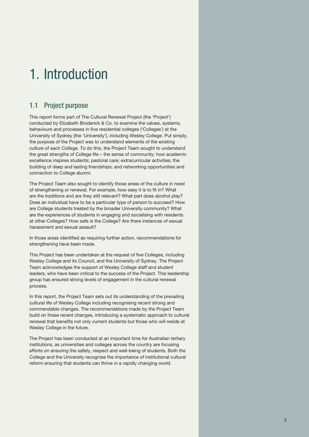# <span id="page-2-0"></span>1. Introduction

### 1.1 Project purpose

This report forms part of The Cultural Renewal Project (the 'Project') conducted by Elizabeth Broderick & Co. to examine the values, systems, behaviours and processes in five residential colleges ('Colleges') at the University of Sydney (the 'University'), including Wesley College. Put simply, the purpose of the Project was to understand elements of the existing culture of each College. To do this, the Project Team sought to understand the great strengths of College life – the sense of community; how academic excellence inspires students; pastoral care; extracurricular activities; the building of deep and lasting friendships; and networking opportunities and connection to College alumni.

The Project Team also sought to identify those areas of the culture in need of strengthening or renewal. For example, how easy it is to fit in? What are the traditions and are they still relevant? What part does alcohol play? Does an individual have to be a particular type of person to succeed? How are College students treated by the broader University community? What are the experiences of students in engaging and socialising with residents at other Colleges? How safe is the College? Are there instances of sexual harassment and sexual assault?

In those areas identified as requiring further action, recommendations for strengthening have been made.

This Project has been undertaken at the request of five Colleges, including Wesley College and its Council, and the University of Sydney. The Project Team acknowledges the support of Wesley College staff and student leaders, who have been critical to the success of the Project. This leadership group has ensured strong levels of engagement in the cultural renewal process.

In this report, the Project Team sets out its understanding of the prevailing cultural life of Wesley College including recognising recent strong and commendable changes. The recommendations made by the Project Team build on these recent changes, introducing a systematic approach to cultural renewal that benefits not only current students but those who will reside at Wesley College in the future.

The Project has been conducted at an important time for Australian tertiary institutions, as universities and colleges across the country are focusing efforts on ensuring the safety, respect and well-being of students. Both the College and the University recognise the importance of institutional cultural reform ensuring that students can thrive in a rapidly changing world.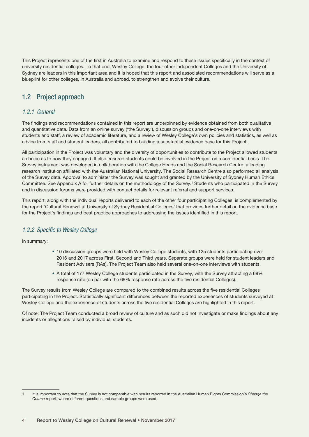<span id="page-3-0"></span>This Project represents one of the first in Australia to examine and respond to these issues specifically in the context of university residential colleges. To that end, Wesley College, the four other independent Colleges and the University of Sydney are leaders in this important area and it is hoped that this report and associated recommendations will serve as a blueprint for other colleges, in Australia and abroad, to strengthen and evolve their culture.

## 1.2 Project approach

#### *1.2.1 General*

The findings and recommendations contained in this report are underpinned by evidence obtained from both qualitative and quantitative data. Data from an online survey ('the Survey'), discussion groups and one-on-one interviews with students and staff, a review of academic literature, and a review of Wesley College's own policies and statistics, as well as advice from staff and student leaders, all contributed to building a substantial evidence base for this Project.

All participation in the Project was voluntary and the diversity of opportunities to contribute to the Project allowed students a choice as to how they engaged. It also ensured students could be involved in the Project on a confidential basis. The Survey instrument was developed in collaboration with the College Heads and the Social Research Centre, a leading research institution affiliated with the Australian National University. The Social Research Centre also performed all analysis of the Survey data. Approval to administer the Survey was sought and granted by the University of Sydney Human Ethics Committee. See Appendix A for further details on the methodology of the Survey.1 Students who participated in the Survey and in discussion forums were provided with contact details for relevant referral and support services.

This report, along with the individual reports delivered to each of the other four participating Colleges, is complemented by the report 'Cultural Renewal at University of Sydney Residential Colleges' that provides further detail on the evidence base for the Project's findings and best practice approaches to addressing the issues identified in this report.

### *1.2.2 Specific to Wesley College*

In summary:

- 10 discussion groups were held with Wesley College students, with 125 students participating over 2016 and 2017 across First, Second and Third years. Separate groups were held for student leaders and Resident Advisers (RAs). The Project Team also held several one-on-one interviews with students.
- A total of 177 Wesley College students participated in the Survey, with the Survey attracting a 68% response rate (on par with the 69% response rate across the five residential Colleges).

The Survey results from Wesley College are compared to the combined results across the five residential Colleges participating in the Project. Statistically significant differences between the reported experiences of students surveyed at Wesley College and the experience of students across the five residential Colleges are highlighted in this report.

Of note: The Project Team conducted a broad review of culture and as such did not investigate or make findings about any incidents or allegations raised by individual students.

<sup>1</sup> It is important to note that the Survey is not comparable with results reported in the Australian Human Rights Commission's *Change the Course* report, where different questions and sample groups were used.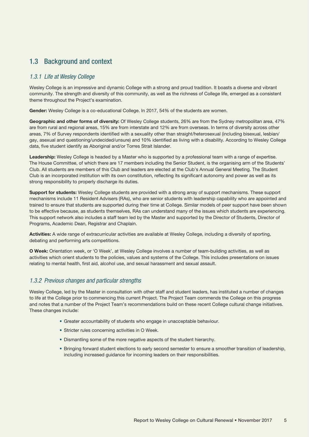## <span id="page-4-0"></span>1.3 Background and context

#### *1.3.1 Life at Wesley College*

Wesley College is an impressive and dynamic College with a strong and proud tradition. It boasts a diverse and vibrant community. The strength and diversity of this community, as well as the richness of College life, emerged as a consistent theme throughout the Project's examination.

Gender: Wesley College is a co-educational College. In 2017, 54% of the students are women.

Geographic and other forms of diversity: Of Wesley College students, 26% are from the Sydney metropolitan area, 47% are from rural and regional areas, 15% are from interstate and 12% are from overseas. In terms of diversity across other areas, 7% of Survey respondents identified with a sexuality other than straight/heterosexual (including bisexual, lesbian/ gay, asexual and questioning/undecided/unsure) and 10% identified as living with a disability. According to Wesley College data, five student identify as Aboriginal and/or Torres Strait Islander.

Leadership: Wesley College is headed by a Master who is supported by a professional team with a range of expertise. The House Committee, of which there are 17 members including the Senior Student, is the organising arm of the Students' Club. All students are members of this Club and leaders are elected at the Club's Annual General Meeting. The Student Club is an incorporated institution with its own constitution, reflecting its significant autonomy and power as well as its strong responsibility to properly discharge its duties.

Support for students: Wesley College students are provided with a strong array of support mechanisms. These support mechanisms include 11 Resident Advisers (RAs), who are senior students with leadership capability who are appointed and trained to ensure that students are supported during their time at College. Similar models of peer support have been shown to be effective because, as students themselves, RAs can understand many of the issues which students are experiencing. This support network also includes a staff team led by the Master and supported by the Director of Students, Director of Programs, Academic Dean, Registrar and Chaplain.

Activities: A wide range of extracurricular activities are available at Wesley College, including a diversity of sporting, debating and performing arts competitions.

O Week: Orientation week, or 'O Week', at Wesley College involves a number of team-building activities, as well as activities which orient students to the policies, values and systems of the College. This includes presentations on issues relating to mental health, first aid, alcohol use, and sexual harassment and sexual assault.

#### *1.3.2 Previous changes and particular strengths*

Wesley College, led by the Master in consultation with other staff and student leaders, has instituted a number of changes to life at the College prior to commencing this current Project. The Project Team commends the College on this progress and notes that a number of the Project Team's recommendations build on these recent College cultural change initiatives. These changes include:

- Greater accountability of students who engage in unacceptable behaviour.
- Stricter rules concerning activities in O Week.
- Dismantling some of the more negative aspects of the student hierarchy.
- Bringing forward student elections to early second semester to ensure a smoother transition of leadership, including increased guidance for incoming leaders on their responsibilities.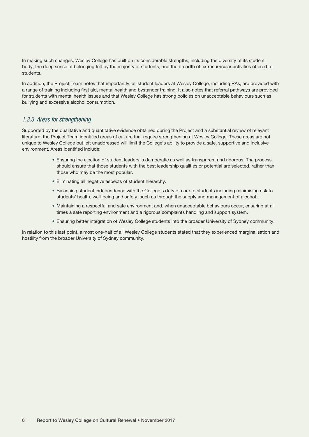<span id="page-5-0"></span>In making such changes, Wesley College has built on its considerable strengths, including the diversity of its student body, the deep sense of belonging felt by the majority of students, and the breadth of extracurricular activities offered to students.

In addition, the Project Team notes that importantly, all student leaders at Wesley College, including RAs, are provided with a range of training including first aid, mental health and bystander training. It also notes that referral pathways are provided for students with mental health issues and that Wesley College has strong policies on unacceptable behaviours such as bullying and excessive alcohol consumption.

#### *1.3.3 Areas for strengthening*

Supported by the qualitative and quantitative evidence obtained during the Project and a substantial review of relevant literature, the Project Team identified areas of culture that require strengthening at Wesley College. These areas are not unique to Wesley College but left unaddressed will limit the College's ability to provide a safe, supportive and inclusive environment. Areas identified include:

- Ensuring the election of student leaders is democratic as well as transparent and rigorous. The process should ensure that those students with the best leadership qualities or potential are selected, rather than those who may be the most popular.
- Eliminating all negative aspects of student hierarchy.
- Balancing student independence with the College's duty of care to students including minimising risk to students' health, well-being and safety, such as through the supply and management of alcohol.
- Maintaining a respectful and safe environment and, when unacceptable behaviours occur, ensuring at all times a safe reporting environment and a rigorous complaints handling and support system.
- Ensuring better integration of Wesley College students into the broader University of Sydney community.

In relation to this last point, almost one-half of all Wesley College students stated that they experienced marginalisation and hostility from the broader University of Sydney community.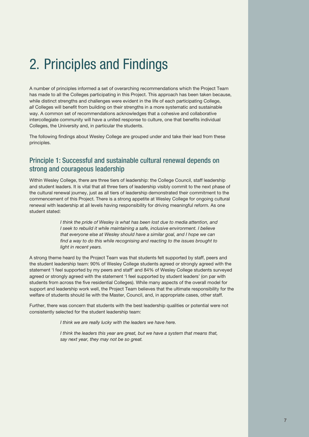# <span id="page-6-0"></span>2. Principles and Findings

A number of principles informed a set of overarching recommendations which the Project Team has made to all the Colleges participating in this Project. This approach has been taken because, while distinct strengths and challenges were evident in the life of each participating College, *all* Colleges will benefit from building on their strengths in a more systematic and sustainable way. A common set of recommendations acknowledges that a cohesive and collaborative intercollegiate community will have a united response to culture, one that benefits individual Colleges, the University and, in particular the students.

The following findings about Wesley College are grouped under and take their lead from these principles.

### Principle 1: Successful and sustainable cultural renewal depends on strong and courageous leadership

Within Wesley College, there are three tiers of leadership: the College Council, staff leadership and student leaders. It is vital that all three tiers of leadership visibly commit to the next phase of the cultural renewal journey, just as all tiers of leadership demonstrated their commitment to the commencement of this Project. There is a strong appetite at Wesley College for ongoing cultural renewal with leadership at all levels having responsibility for driving meaningful reform. As one student stated:

> *I think the pride of Wesley is what has been lost due to media attention, and I seek to rebuild it while maintaining a safe, inclusive environment. I believe that everyone else at Wesley should have a similar goal, and I hope we can find a way to do this while recognising and reacting to the issues brought to light in recent years.*

A strong theme heard by the Project Team was that students felt supported by staff, peers and the student leadership team: 90% of Wesley College students agreed or strongly agreed with the statement 'I feel supported by my peers and staff' and 84% of Wesley College students surveyed agreed or strongly agreed with the statement 'I feel supported by student leaders' (on par with students from across the five residential Colleges). While many aspects of the overall model for support and leadership work well, the Project Team believes that the ultimate responsibility for the welfare of students should lie with the Master, Council, and, in appropriate cases, other staff.

Further, there was concern that students with the best leadership qualities or potential were not consistently selected for the student leadership team:

*I think we are really lucky with the leaders we have here.*

*I think the leaders this year are great, but we have a system that means that, say next year, they may not be so great.*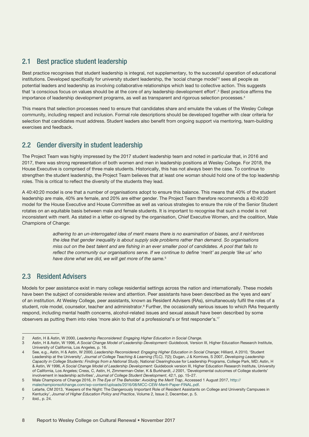## <span id="page-7-0"></span>2.1 Best practice student leadership

Best practice recognises that student leadership is integral, not supplementary, to the successful operation of educational institutions. Developed specifically for university student leadership, the 'social change model'<sup>2</sup> sees all people as potential leaders and leadership as involving collaborative relationships which lead to collective action. This suggests that 'a conscious focus on values should be at the core of any leadership development effort'.<sup>3</sup> Best practice affirms the importance of leadership development programs, as well as transparent and rigorous selection processes.4

This means that selection processes need to ensure that candidates share and emulate the values of the Wesley College community, including respect and inclusion. Formal role descriptions should be developed together with clear criteria for selection that candidates must address. Student leaders also benefit from ongoing support via mentoring, team-building exercises and feedback.

## 2.2 Gender diversity in student leadership

The Project Team was highly impressed by the 2017 student leadership team and noted in particular that, in 2016 and 2017, there was strong representation of both women and men in leadership positions at Wesley College. For 2018, the House Executive is comprised of three male students. Historically, this has not always been the case. To continue to strengthen the student leadership, the Project Team believes that at least one woman should hold one of the top leadership roles. This is critical to reflect the diversity of the students they lead.

A 40:40:20 model is one that a number of organisations adopt to ensure this balance. This means that 40% of the student leadership are male, 40% are female, and 20% are either gender. The Project Team therefore recommends a 40:40:20 model for the House Executive and House Committee as well as various strategies to ensure the role of the Senior Student rotates on an equitable basis between male and female students. It is important to recognise that such a model is not inconsistent with merit. As stated in a letter co-signed by the organisation, Chief Executive Women, and the coalition, Male Champions of Change:

> *adhering to an un-interrogated idea of merit means there is no examination of biases, and it reinforces the idea that gender inequality is about supply side problems rather than demand. So organisations miss out on the best talent and are fishing in an ever smaller pool of candidates. A pool that fails to reflect the community our organisations serve. If we continue to define 'merit' as people 'like us' who have done what we did, we will get more of the same.*<sup>5</sup>

## 2.3 Resident Advisers

Models for peer assistance exist in many college residential settings across the nation and internationally. These models have been the subject of considerable review and attention. Peer assistants have been described as the 'eyes and ears' of an institution. At Wesley College, peer assistants, known as Resident Advisers (RAs), simultaneously fulfil the roles of a student, role model, counselor, teacher and administrator.<sup>6</sup> Further, the occasionally serious issues to which RAs frequently respond, including mental health concerns, alcohol-related issues and sexual assault have been described by some observers as putting them into roles 'more akin to that of a professional's or first responder's.'7

<sup>2</sup> Astin, H & Astin, W 2000, *Leadership Reconsidered: Engaging Higher Education in Social Change.*

<sup>3</sup> Astin, H & Astin, W 1996, *A Social Change Model of Leadership Development: Guidebook,* Version III, Higher Education Research Institute, University of California, Los Angeles, p. 16.

<sup>4</sup> See, e.g., Astin, H & Astin, W 2000, *Leadership Reconsidered: Engaging Higher Education in Social Change*; Hilliard, A 2010, 'Student Leadership at the University', *Journal of College Teaching & Learning (TLC)*, 7(2); Dugan, J & Komives, S 2007, *Developing Leadership Capacity in College Students: Findings from a National Study*, National Clearinghouse for Leadership Programs, College Park, MD; Astin, H & Astin, W 1996, *A Social Change Model of Leadership Development*: Guidebook version III, Higher Education Research Institute, University of California, Los Angeles; Cress, C, Astin, H, Zimmerman-Oster, K & Burkhardt, J 2001, 'Developmental outcomes of College students' involvement in leadership activities', *Journal of College Student Development*, 42:1, pp. 15–27.

<sup>5</sup> Male Champions of Change 2016, *In The Eye of The Beholder: Avoiding the Merit Trap*, Accessed 1 August 2017, [http://](http://malechampionsofchange.com/wp-content/uploads/2016/08/MCC-CEW-Merit-Paper-FINAL.pdf) [malechampionsofchange.com/wp-content/uploads/2016/08/MCC-CEW-Merit-Paper-FINAL.pdf](http://malechampionsofchange.com/wp-content/uploads/2016/08/MCC-CEW-Merit-Paper-FINAL.pdf).

<sup>6</sup> Letarte, CM 2013, 'Keepers of the Night: The Dangerously Important Role of Resident Assistants on College and University Campuses in Kentucky', *Journal of Higher Education Policy and Practice*, Volume 2, Issue 2, December, p. 5.

<sup>7</sup> ibid., p. 24.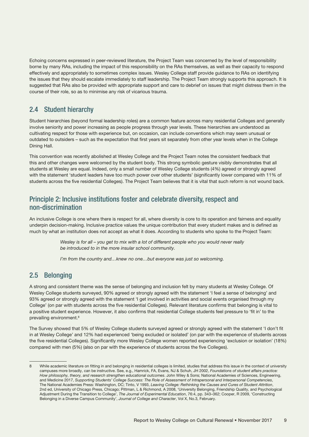<span id="page-8-0"></span>Echoing concerns expressed in peer-reviewed literature, the Project Team was concerned by the level of responsibility borne by many RAs, including the impact of this responsibility on the RAs themselves, as well as their capacity to respond effectively and appropriately to sometimes complex issues. Wesley College staff provide guidance to RAs on identifying the issues that they should escalate immediately to staff leadership. The Project Team strongly supports this approach. It is suggested that RAs also be provided with appropriate support and care to debrief on issues that might distress them in the course of their role, so as to minimise any risk of vicarious trauma.

## 2.4 Student hierarchy

Student hierarchies (beyond formal leadership roles) are a common feature across many residential Colleges and generally involve seniority and power increasing as people progress through year levels. These hierarchies are understood as cultivating respect for those with experience but, on occasion, can include conventions which may seem unusual or outdated to outsiders – such as the expectation that first years sit separately from other year levels when in the College Dining Hall.

This convention was recently abolished at Wesley College and the Project Team notes the consistent feedback that this and other changes were welcomed by the student body. This strong symbolic gesture visibly demonstrates that all students at Wesley are equal. Indeed, only a small number of Wesley College students (4%) agreed or strongly agreed with the statement 'student leaders have too much power over other students' (significantly lower compared with 11% of students across the five residential Colleges). The Project Team believes that it is vital that such reform is not wound back.

## Principle 2: Inclusive institutions foster and celebrate diversity, respect and non‑discrimination

An inclusive College is one where there is respect for all, where diversity is core to its operation and fairness and equality underpin decision-making. Inclusive practice values the unique contribution that every student makes and is defined as much by what an institution does not accept as what it does. According to students who spoke to the Project Team:

> *Wesley is for all – you get to mix with a lot of different people who you would never really be introduced to in the more insular school community.*

*I'm from the country and…knew no one…but everyone was just so welcoming.*

## 2.5 Belonging

A strong and consistent theme was the sense of belonging and inclusion felt by many students at Wesley College. Of Wesley College students surveyed, 90% agreed or strongly agreed with the statement 'I feel a sense of belonging' and 93% agreed or strongly agreed with the statement 'I get involved in activities and social events organised through my College' (on par with students across the five residential Colleges). Relevant literature confirms that belonging is vital to a positive student experience. However, it also confirms that residential College students feel pressure to 'fit in' to the prevailing environment.8

The Survey showed that 5% of Wesley College students surveyed agreed or strongly agreed with the statement 'I don't fit in at Wesley College' and 12% had experienced 'being excluded or isolated' (on par with the experience of students across the five residential Colleges). Significantly more Wesley College women reported experiencing 'exclusion or isolation' (18%) compared with men (5%) (also on par with the experience of students across the five Colleges).

<sup>8</sup> While academic literature on fitting in and belonging in residential colleges is limited, studies that address this issue in the context of university campuses more broadly, can be instructive. See, e.g., Hamrick, FA, Evans, NJ & Schuh, JH 2002, *Foundations of student affairs practice: How philosophy, theory, and research strengthen educational outcomes*. John Wiley & Sons; National Academies of Sciences, Engineering, and Medicine 2017, *Supporting Students' College Success: The Role of Assessment of Intrapersonal and Interpersonal Competencies*, The National Academies Press: Washington, DC; Tinto, V 1993, *Leaving College: Rethinking the Causes and Cures of Student Attrition*, 2nd ed, University of Chicago Press, Chicago; Pittman, L & Richmond, A 2008, 'University Belonging, Friendship Quality, and Psychological Adjustment During the Transition to College', *The Journal of Experimental Education*, 76:4, pp. 343–362; Cooper, R 2009, 'Constructing Belonging in a Diverse Campus Community', *Journal of College and Character*, Vol X, No.3, February.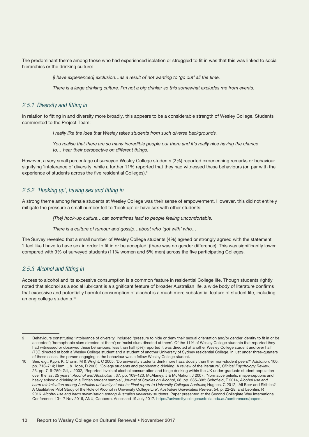<span id="page-9-0"></span>The predominant theme among those who had experienced isolation or struggled to fit in was that this was linked to social hierarchies or the drinking culture:

*[I have experienced] exclusion…as a result of not wanting to 'go out' all the time.*

*There is a large drinking culture. I'm not a big drinker so this somewhat excludes me from events.*

#### *2.5.1 Diversity and fitting in*

In relation to fitting in and diversity more broadly, this appears to be a considerable strength of Wesley College. Students commented to the Project Team:

*I really like the idea that Wesley takes students from such diverse backgrounds.*

*You realise that there are so many incredible people out there and it's really nice having the chance to… hear their perspective on different things.*

However, a very small percentage of surveyed Wesley College students (2%) reported experiencing remarks or behaviour signifying 'intolerance of diversity' while a further 11% reported that they had witnessed these behaviours (on par with the experience of students across the five residential Colleges).9

#### *2.5.2 'Hooking up', having sex and fitting in*

A strong theme among female students at Wesley College was their sense of empowerment. However, this did not entirely mitigate the pressure a small number felt to 'hook up' or have sex with other students:

*[The] hook-up culture…can sometimes lead to people feeling uncomfortable.*

*There is a culture of rumour and gossip…about who 'got with' who…*

The Survey revealed that a small number of Wesley College students (4%) agreed or strongly agreed with the statement 'I feel like I have to have sex in order to fit in or be accepted' (there was no gender difference). This was significantly lower compared with 9% of surveyed students (11% women and 5% men) across the five participating Colleges.

#### *2.5.3 Alcohol and fitting in*

Access to alcohol and its excessive consumption is a common feature in residential College life. Though students rightly noted that alcohol as a social lubricant is a significant feature of broader Australian life, a wide body of literature confirms that excessive and potentially harmful consumption of alcohol is a much more substantial feature of student life, including among college students.<sup>10</sup>

<sup>9</sup> Behaviours constituting 'intolerance of diversity' included 'pressure to hide or deny their sexual orientation and/or gender identity to fit in or be accepted'; 'homophobic slurs directed at them'; or 'racist slurs directed at them'. Of the 11% of Wesley College students that reported they had witnessed or observed these behaviours, less than half (5%) reported it was directed at another Wesley College student and over half (7%) directed at both a Wesley College student and a student of another University of Sydney residential College. In just under three-quarters of these cases, the person engaging in the behaviour was a fellow Wesley College student.

<sup>10</sup> See, e.g., Kypri, K, Cronin, M & Wright, C 2005, 'Do university students drink more hazardously than their non-student peers?' *Addiction*, 100, pp. 713–714; Ham, L & Hope, D 2003, 'College students and problematic drinking: A review of the literature', *Clinical Psychology Review*, 23, pp. 719–759; Gill, J 2002, 'Reported levels of alcohol consumption and binge drinking within the UK under-graduate student population over the last 25 years', *Alcohol and Alcoholism*, 37, pp. 109–120; McAlaney, J & McMahon, J 2007, 'Normative beliefs, misperceptions and heavy episodic drinking in a British student sample', *Journal of Studies on Alcohol*, 68, pp. 385–392; Schofield, T 2014, *Alcohol use and harm minimisation among Australian university students: Final report to University Colleges Australia*; Hughes, C 2012, 'All Beer and Skittles? A Qualitative Pilot Study of the Role of Alcohol in University College Life', *Australian Universities Review*, 54, p. 22–28; and Leontini, R 2016. *Alcohol use and harm minimisation among Australian university students*. Paper presented at the Second Collegiate Way International Conference, 13–17 Nov 2016, ANU, Canberra. Accessed 19 July 2017. [https://universitycollegeaustralia.edu.au/conferences/papers.](https://universitycollegeaustralia.edu.au/conferences/papers)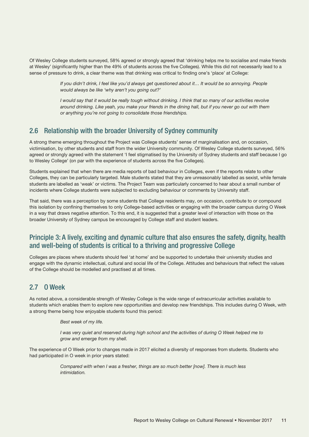<span id="page-10-0"></span>Of Wesley College students surveyed, 58% agreed or strongly agreed that 'drinking helps me to socialise and make friends at Wesley' (significantly higher than the 49% of students across the five Colleges). While this did not necessarily lead to a sense of pressure to drink, a clear theme was that drinking was critical to finding one's 'place' at College:

> *If you didn't drink, I feel like you'd always get questioned about it... It would be so annoying. People would always be like 'why aren't you going out?'*

> *I would say that it would be really tough without drinking. I think that so many of our activities revolve around drinking. Like yeah, you make your friends in the dining hall, but if you never go out with them or anything you're not going to consolidate those friendships.*

### 2.6 Relationship with the broader University of Sydney community

A strong theme emerging throughout the Project was College students' sense of marginalisation and, on occasion, victimisation, by other students and staff from the wider University community. Of Wesley College students surveyed, 56% agreed or strongly agreed with the statement 'I feel stigmatised by the University of Sydney students and staff because I go to Wesley College' (on par with the experience of students across the five Colleges).

Students explained that when there are media reports of bad behaviour in Colleges, even if the reports relate to other Colleges, they can be particularly targeted. Male students stated that they are unreasonably labelled as sexist, while female students are labelled as 'weak' or victims. The Project Team was particularly concerned to hear about a small number of incidents where College students were subjected to excluding behaviour or comments by University staff.

That said, there was a perception by some students that College residents may, on occasion, contribute to or compound this isolation by confining themselves to only College-based activities or engaging with the broader campus during O Week in a way that draws negative attention. To this end, it is suggested that a greater level of interaction with those on the broader University of Sydney campus be encouraged by College staff and student leaders.

## Principle 3: A lively, exciting and dynamic culture that also ensures the safety, dignity, health and well-being of students is critical to a thriving and progressive College

Colleges are places where students should feel 'at home' and be supported to undertake their university studies and engage with the dynamic intellectual, cultural and social life of the College. Attitudes and behaviours that reflect the values of the College should be modelled and practised at all times.

## 2.7 O Week

As noted above, a considerable strength of Wesley College is the wide range of extracurricular activities available to students which enables them to explore new opportunities and develop new friendships. This includes during O Week, with a strong theme being how enjoyable students found this period:

#### *Best week of my life.*

*I* was very quiet and reserved during high school and the activities of during O Week helped me to *grow and emerge from my shell.*

The experience of O Week prior to changes made in 2017 elicited a diversity of responses from students. Students who had participated in O week in prior years stated:

> *Compared with when I was a fresher, things are so much better [now]. There is much less intimidation.*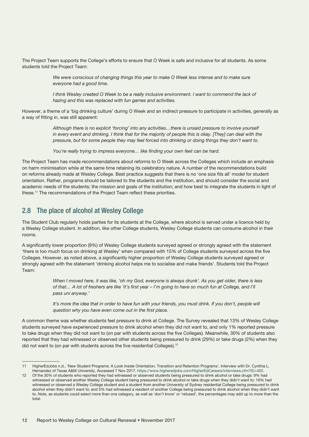<span id="page-11-0"></span>The Project Team supports the College's efforts to ensure that O Week is safe and inclusive for all students. As some students told the Project Team:

> *We were conscious of changing things this year to make O Week less intense and to make sure everyone had a good time.*

*I think Wesley created O Week to be a really inclusive environment. I want to commend the lack of hazing and this was replaced with fun games and activities.*

However, a theme of a 'big drinking culture' during O Week and an indirect pressure to participate in activities, generally as a way of fitting in, was still apparent:

> *Although there is no explicit 'forcing' into any activities…there is unsaid pressure to involve yourself in every event and drinking. I think that for the majority of people this is okay. [They] can deal with the pressure, but for some people they may feel forced into drinking or doing things they don't want to.*

*You're really trying to impress everyone… like finding your own feet can be hard.*

The Project Team has made recommendations about reforms to O Week across the Colleges which include an emphasis on harm minimisation while at the same time retaining its celebratory nature. A number of the recommendations build on reforms already made at Wesley College. Best practice suggests that there is no 'one size fits all' model for student orientation. Rather, programs should be tailored to the students and the institution, and should consider the social and academic needs of the students; the mission and goals of the institution; and how best to integrate the students in light of these.<sup>11</sup> The recommendations of the Project Team reflect these priorities.

#### 2.8 The place of alcohol at Wesley College

The Student Club regularly holds parties for its students at the College, where alcohol is served under a licence held by a Wesley College student. In addition, like other College students, Wesley College students can consume alcohol in their rooms.

A significantly lower proportion (9%) of Wesley College students surveyed agreed or strongly agreed with the statement 'there is too much focus on drinking at Wesley' when compared with 15% of College students surveyed across the five Colleges. However, as noted above, a significantly higher proportion of Wesley College students surveyed agreed or strongly agreed with the statement 'drinking alcohol helps me to socialise and make friends'. Students told the Project Team:

> *When I moved here, it was like, 'oh my God, everyone is always drunk'. As you get older, there is less of that… A lot of freshers are like 'it's first year – I'm going to have so much fun at College, and I'll pass uni anyway.'*

*It's more the idea that in order to have fun with your friends, you must drink. If you don't, people will question why you have even come out in the first place.*

A common theme was whether students feel pressure to drink at College. The Survey revealed that 13% of Wesley College students surveyed have experienced pressure to drink alcohol when they did not want to, and only 1% reported pressure to take drugs when they did not want to (on par with students across the five Colleges). Meanwhile, 30% of students also reported that they had witnessed or observed other students being pressured to drink (29%) or take drugs (2%) when they did not want to (on par with students across the five residential Colleges).12

<sup>11</sup> HigherEdJobs n.d., 'New Student Programs: A Look Inside Orientation, Transition and Retention Programs', Interview with Dr. Cynthia L. Hernandez of Texas A&M University, Accessed 7 Nov 2017. <https://www.higheredjobs.com/HigherEdCareers/interviews.cfm?ID=402>.

<sup>12</sup> Of the 30% of students who reported they had witnessed or observed students being pressured to drink alcohol or take drugs: 9% had witnessed or observed another Wesley College student being pressured to drink alcohol or take drugs when they didn't want to; 16% had witnessed or observed a Wesley College student and a student from another University of Sydney residential College being pressured to drink alcohol when they didn't want to; and 5% had witnessed a resident of another College being pressured to drink alcohol when they didn't want to. Note, as students could select more than one category, as well as 'don't know' or 'refused', the percentages may add up to more than the total.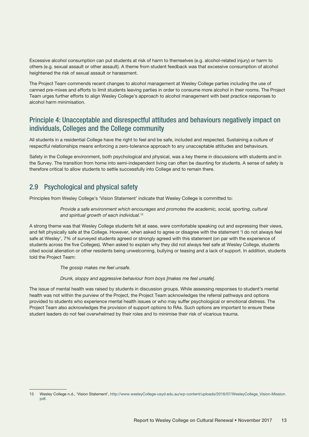<span id="page-12-0"></span>Excessive alcohol consumption can put students at risk of harm to themselves (e.g. alcohol-related injury) or harm to others (e.g. sexual assault or other assault). A theme from student feedback was that excessive consumption of alcohol heightened the risk of sexual assault or harassment.

The Project Team commends recent changes to alcohol management at Wesley College parties including the use of canned pre-mixes and efforts to limit students leaving parties in order to consume more alcohol in their rooms. The Project Team urges further efforts to align Wesley College's approach to alcohol management with best practice responses to alcohol harm minimisation.

## Principle 4: Unacceptable and disrespectful attitudes and behaviours negatively impact on individuals, Colleges and the College community

All students in a residential College have the right to feel and be safe, included and respected. Sustaining a culture of respectful relationships means enforcing a zero-tolerance approach to any unacceptable attitudes and behaviours.

Safety in the College environment, both psychological and physical, was a key theme in discussions with students and in the Survey. The transition from home into semi-independent living can often be daunting for students. A sense of safety is therefore critical to allow students to settle successfully into College and to remain there.

## 2.9 Psychological and physical safety

Principles from Wesley College's 'Vision Statement' indicate that Wesley College is committed to:

*Provide a safe environment which encourages and promotes the academic, social, sporting, cultural and spiritual growth of each individual.*<sup>13</sup>

A strong theme was that Wesley College students felt at ease, were comfortable speaking out and expressing their views, and felt physically safe at the College. However, when asked to agree or disagree with the statement 'I do not always feel safe at Wesley', 7% of surveyed students agreed or strongly agreed with this statement (on par with the experience of students across the five Colleges). When asked to explain why they did not always feel safe at Wesley College, students cited social alienation or other residents being unwelcoming, bullying or teasing and a lack of support. In addition, students told the Project Team:

*The gossip makes me feel unsafe.*

*Drunk, sloppy and aggressive behaviour from boys [makes me feel unsafe].*

The issue of mental health was raised by students in discussion groups. While assessing responses to student's mental health was not within the purview of the Project, the Project Team acknowledges the referral pathways and options provided to students who experience mental health issues or who may suffer psychological or emotional distress. The Project Team also acknowledges the provision of support options to RAs. Such options are important to ensure these student leaders do not feel overwhelmed by their roles and to minimise their risk of vicarious trauma.

<sup>13</sup> Wesley College n.d., 'Vision Statement', [http://www.wesleyCollege-usyd.edu.au/wp-content/uploads/2016/07/WesleyCollege\\_Vision-Mission.](http://www.wesleyCollege-usyd.edu.au/wp-content/uploads/2016/07/WesleyCollege_Vision-Mission.pdf) [pdf.](http://www.wesleyCollege-usyd.edu.au/wp-content/uploads/2016/07/WesleyCollege_Vision-Mission.pdf)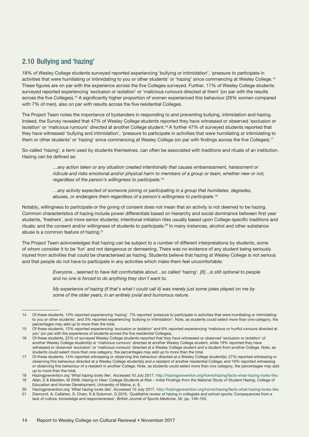## <span id="page-13-0"></span>2.10 Bullying and 'hazing'

18% of Wesley College students surveyed reported experiencing 'bullying or intimidation', 'pressure to participate in activities that were humiliating or intimidating to you or other students' or 'hazing' since commencing at Wesley College.14 These figures are on par with the experience across the five Colleges surveyed. Further, 17% of Wesley College students surveyed reported experiencing 'exclusion or isolation' or 'malicious rumours directed at them' (on par with the results across the five Colleges).15 A significantly higher proportion of women experienced this behaviour (26% women compared with 7% of men), also on par with results across the five residential Colleges.

The Project Team notes the importance of bystanders in responding to and preventing bullying, intimidation and hazing. Indeed, the Survey revealed that 47% of Wesley College students reported they have witnessed or observed 'exclusion or isolation' or 'malicious rumours' directed at another College student.16 A further 47% of surveyed students reported that they have witnessed 'bullying and intimidation', 'pressure to participate in activities that were humiliating or intimidating to them or other students' or 'hazing' since commencing at Wesley College (on par with findings across the five Colleges).<sup>17</sup>

So-called 'hazing', a term used by students themselves, can often be associated with traditions and rituals of an institution. Hazing can be defined as:

> *…any action taken or any situation created intentionally that causes embarrassment, harassment or ridicule and risks emotional and/or physical harm to members of a group or team, whether new or not, regardless of the person's willingness to participate.*<sup>18</sup>

*…any activity expected of someone joining or participating in a group that humiliates, degrades, abuses, or endangers them regardless of a person's willingness to participate.*<sup>19</sup>

Notably, willingness to participate or the giving of consent does not mean that an activity is not deemed to be hazing. Common characteristics of hazing include power differentials based on hierarchy and social dominance between first year students, 'freshers', and more senior students; intentional initiation rites usually based upon College-specific traditions and rituals; and the consent and/or willingness of students to participate.<sup>20</sup> In many instances, alcohol and other substance abuse is a common feature of hazing.<sup>21</sup>

The Project Team acknowledges that hazing can be subject to a number of different interpretations by students, some of whom consider it to be 'fun' and not dangerous or demeaning. There was no evidence of any student being seriously injured from activities that could be characterised as hazing. Students believe that hazing at Wesley College is not serious and that people do not have to participate in any activities which make them feel uncomfortable:

> *Everyone…seemed to have felt comfortable about…so called 'hazing'. [It]…is still optional to people and no one is forced to do anything they don't want to.*

*My experience of hazing (if that's what I could call it) was merely just some jokes played on me by some of the older years, in an entirely jovial and humorous nature.*

15 Of these students, 12% reported experiencing 'exclusion or isolation' and 9% reported experiencing 'malicious or hurtful rumours directed at you' (on par with the experience of students across the five residential Colleges).

<sup>14</sup> Of these students, 13% reported experiencing 'hazing', 7% reported 'pressure to participate in activities that were humiliating or intimidating to you or other students', and 3% reported experiencing 'bullying or intimidation'. Note, as students could select more than one category, the percentages may add up to more than the total.

<sup>16</sup> Of these students, 22% of surveyed Wesley College students reported that they have witnessed or observed 'exclusion or isolation' of another Wesley College student(s) or 'malicious rumours' directed at another Wesley College student, while 19% reported they have witnessed or observed 'exclusion' or 'malicious rumours' directed at a Wesley College student and a student from another College. Note, as students could select more than one category, the percentages may add up to more than the total.

<sup>17</sup> Of these students, 14% reported witnessing or observing this behaviour directed at a Wesley College student(s); 27% reported witnessing or observing this behaviour directed at a Wesley College student(s) and a resident of another residential College; and 16% reported witnessing or observing this behaviour of a resident in another College. Note, as students could select more than one category, the percentages may add up to more than the total.

<sup>18</sup> Hazingprevention.org '*What hazing looks like*'. Accessed 10 July 2017. [http://hazingprevention.org/home/hazing/facts-what-hazing-looks-like.](http://hazingprevention.org/home/hazing/facts-what-hazing-looks-like)

<sup>19</sup> Allan, E & Madden, M 2008. *Hazing in View: College Students at Risk – Initial Findings from the National Study of Student Hazing*, College of Education and Human Development, University of Maine, p. 8.

<sup>20</sup> Hazingprevention.org '*What hazing looks like*'. Accessed 10 July 2017. <http://hazingprevention.org/home/hazing/facts-what-hazing-looks-like>. 21 Diamond, A, Callahan, S, Chain, K & Solomon, G 2016, 'Qualitative review of hazing in collegiate and school sports: Consequences from a

lack of culture, knowledge and responsiveness', *British Journal of Sports Medicine*, 50, pp. 149–153.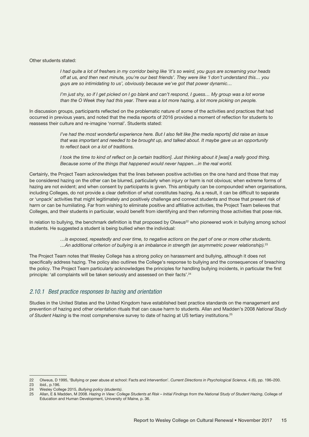#### <span id="page-14-0"></span>Other students stated:

*I had quite a lot of freshers in my corridor being like 'it's so weird, you guys are screaming your heads off at us, and then next minute, you're our best friends'. They were like 'I don't understand this… you guys are so intimidating to us', obviously because we've got that power dynamic…*

*I'm just shy, so if I get picked on I go blank and can't respond, I guess… My group was a lot worse than the O Week they had this year. There was a lot more hazing, a lot more picking on people.*

In discussion groups, participants reflected on the problematic nature of some of the activities and practices that had occurred in previous years, and noted that the media reports of 2016 provided a moment of reflection for students to reassess their culture and re-imagine 'normal'. Students stated:

> *I've had the most wonderful experience here. But I also felt like [the media reports] did raise an issue that was important and needed to be brought up, and talked about. It maybe gave us an opportunity to reflect back on a lot of traditions.*

> *I took the time to kind of reflect on [a certain tradition]. Just thinking about it [was] a really good thing. Because some of the things that happened would never happen…in the real world.*

Certainly, the Project Team acknowledges that the lines between positive activities on the one hand and those that may be considered hazing on the other can be blurred, particularly when injury or harm is not obvious; when extreme forms of hazing are not evident; and when consent by participants is given. This ambiguity can be compounded when organisations, including Colleges, do not provide a clear definition of what constitutes hazing. As a result, it can be difficult to separate or 'unpack' activities that might legitimately and positively challenge and connect students and those that present risk of harm or can be humiliating. Far from wishing to eliminate positive and affiliative activities, the Project Team believes that Colleges, and their students in particular, would benefit from identifying and then reforming those activities that pose risk.

In relation to bullying, the benchmark definition is that proposed by Olweus<sup>22</sup> who pioneered work in bullying among school students. He suggested a student is being bullied when the individual:

> *…is exposed, repeatedly and over time, to negative actions on the part of one or more other students. …An additional criterion of bullying is an imbalance in strength (an asymmetric power relationship).*<sup>23</sup>

The Project Team notes that Wesley College has a strong policy on harassment and bullying, although it does not specifically address hazing. The policy also outlines the College's response to bullying and the consequences of breaching the policy. The Project Team particularly acknowledges the principles for handling bullying incidents, in particular the first principle: 'all complaints will be taken seriously and assessed on their facts'.<sup>24</sup>

#### *2.10.1 Best practice responses to hazing and orientation*

Studies in the United States and the United Kingdom have established best practice standards on the management and prevention of hazing and other orientation rituals that can cause harm to students. Allan and Madden's 2008 *National Study of Student Hazing* is the most comprehensive survey to date of hazing at US tertiary institutions.25

<sup>22</sup> Olweus, D 1995, 'Bullying or peer abuse at school: Facts and intervention'. *Current Directions in Psychological Science*, 4 (6), pp. 196–200. ibid., p.196.

<sup>24</sup> Wesley College 2015, *Bullying policy (students)*.

<sup>25</sup> Allan, E & Madden, M 2008. *Hazing in View: College Students at Risk – Initial Findings from the National Study of Student Hazing*, College of Education and Human Development, University of Maine, p. 36.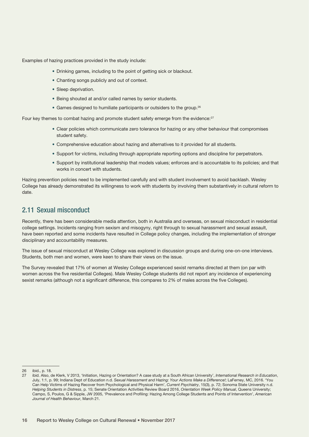<span id="page-15-0"></span>Examples of hazing practices provided in the study include:

- Drinking games, including to the point of getting sick or blackout.
- Chanting songs publicly and out of context.
- Sleep deprivation.
- Being shouted at and/or called names by senior students.
- Games designed to humiliate participants or outsiders to the group.<sup>26</sup>

Four key themes to combat hazing and promote student safety emerge from the evidence:<sup>27</sup>

- Clear policies which communicate zero tolerance for hazing or any other behaviour that compromises student safety.
- Comprehensive education about hazing and alternatives to it provided for all students.
- Support for victims, including through appropriate reporting options and discipline for perpetrators.
- Support by institutional leadership that models values; enforces and is accountable to its policies; and that works in concert with students.

Hazing prevention policies need to be implemented carefully and with student involvement to avoid backlash. Wesley College has already demonstrated its willingness to work with students by involving them substantively in cultural reform to date.

## 2.11 Sexual misconduct

Recently, there has been considerable media attention, both in Australia and overseas, on sexual misconduct in residential college settings. Incidents ranging from sexism and misogyny, right through to sexual harassment and sexual assault, have been reported and some incidents have resulted in College policy changes, including the implementation of stronger disciplinary and accountability measures.

The issue of sexual misconduct at Wesley College was explored in discussion groups and during one-on-one interviews. Students, both men and women, were keen to share their views on the issue.

The Survey revealed that 17% of women at Wesley College experienced sexist remarks directed at them (on par with women across the five residential Colleges). Male Wesley College students did not report any incidence of experiencing sexist remarks (although not a significant difference, this compares to 2% of males across the five Colleges).

<sup>26</sup> ibid., p. 18.

<sup>27</sup> ibid. Also, de Klerk, V 2013, 'Initiation, Hazing or Orientation? A case study at a South African University', *International Research in Education*, July, 1:1, p. 99; Indiana Dept of Education n.d. *Sexual Harassment and Hazing: Your Actions Make a Difference!*; LaFerney, MC, 2016. 'You Can Help Victims of Hazing Recover from Psychological and Physical Harm', *Current Psychiatry*, 15(3), p. 72; Sonoma State University n.d. *Helping Students in Distress*, p. 15; Senate Orientation Activities Review Board 2016, *Orientation Week Policy Manual*, Queens University; Campo, S, Poulos, G & Sipple, JW 2005, 'Prevalence and Profiling: Hazing Among College Students and Points of Intervention', *American Journal of Health Behaviour*, March 21.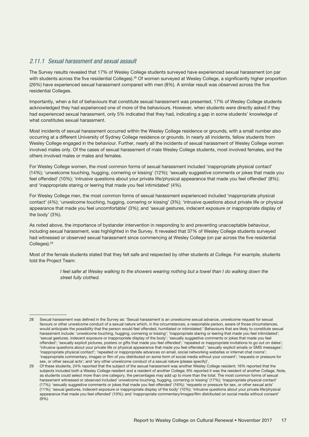#### <span id="page-16-0"></span>*2.11.1 Sexual harassment and sexual assault*

The Survey results revealed that 17% of Wesley College students surveyed have experienced sexual harassment (on par with students across the five residential Colleges).<sup>28</sup> Of women surveyed at Wesley College, a significantly higher proportion (26%) have experienced sexual harassment compared with men (8%). A similar result was observed across the five residential Colleges.

Importantly, when a list of behaviours that constitute sexual harassment was presented, 17% of Wesley College students acknowledged they had experienced one of more of the behaviours. However, when students were directly asked if they had experienced sexual harassment, only 5% indicated that they had, indicating a gap in some students' knowledge of what constitutes sexual harassment.

Most incidents of sexual harassment occurred within the Wesley College residence or grounds, with a small number also occurring at a different University of Sydney College residence or grounds. In nearly all incidents, fellow students from Wesley College engaged in the behaviour. Further, nearly all the incidents of sexual harassment of Wesley College women involved males only. Of the cases of sexual harassment of male Wesley College students, most involved females, and the others involved males or males and females.

For Wesley College women, the most common forms of sexual harassment included 'inappropriate physical contact' (14%); 'unwelcome touching, hugging, cornering or kissing' (12%); 'sexually suggestive comments or jokes that made you feel offended' (10%); 'intrusive questions about your private life/physical appearance that made you feel offended' (8%); and 'inappropriate staring or leering that made you feel intimidated' (4%).

For Wesley College men, the most common forms of sexual harassment experienced included 'inappropriate physical contact' (4%); 'unwelcome touching, hugging, cornering or kissing' (3%); 'intrusive questions about private life or physical appearance that made you feel uncomfortable' (3%); and 'sexual gestures, indecent exposure or inappropriate display of the body' (3%).

As noted above, the importance of bystander intervention in responding to and preventing unacceptable behaviour, including sexual harassment, was highlighted in the Survey. It revealed that 37% of Wesley College students surveyed had witnessed or observed sexual harassment since commencing at Wesley College (on par across the five residential Colleges).29

Most of the female students stated that they felt safe and respected by other students at College. For example, students told the Project Team:

> *I* feel safer at Wesley walking to the showers wearing nothing but a towel than I do walking down the *street fully clothed.*

<sup>28</sup> Sexual harassment was defined in the Survey as: 'Sexual harassment is an unwelcome sexual advance, unwelcome request for sexual favours or other unwelcome conduct of a sexual nature which, in the circumstances, a reasonable person, aware of those circumstances would anticipate the possibility that the person would feel offended, humiliated or intimidated.' Behaviours that are likely to constitute sexual harassment include: 'unwelcome touching, hugging, cornering or kissing'; 'inappropriate staring or leering that made you feel intimidated'; 'sexual gestures, indecent exposure or inappropriate display of the body'; 'sexually suggestive comments or jokes that made you feel offended'; 'sexually explicit pictures, posters or gifts that made you feel offended'; 'repeated or inappropriate invitations to go out on dates'; 'intrusive questions about your private life or physical appearance that made you feel offended'; 'sexually explicit emails or SMS messages'; 'inappropriate physical contact'; 'repeated or inappropriate advances on email, social networking websites or internet chat rooms'; 'inappropriate commentary, images or film of you distributed on some form of social media without your consent'; 'requests or pressure for sex, or other sexual acts'; and 'any other unwelcome conduct of a sexual nature (please specify)'

<sup>29</sup> Of these students, 24% reported that the subject of the sexual harassment was another Wesley College resident; 16% reported that the subjects included both a Wesley College resident and a resident of another College; 9% reported it was the resident of another College. Note, as students could select more than one category, the percentages may add up to more than the total. The most common forms of sexual harassment witnessed or observed included 'unwelcome touching, hugging, cornering or kissing' (17%); 'inappropriate physical contact' (17%); 'sexually suggestive comments or jokes that made you feel offended' (16%); 'requests or pressure for sex, or other sexual acts' (11%); 'sexual gestures, indecent exposure or inappropriate display of the body' (10%); 'intrusive questions about your private life/physical appearance that made you feel offended' (10%); and 'inappropriate commentary/images/film distributed on social media without consent' (9%).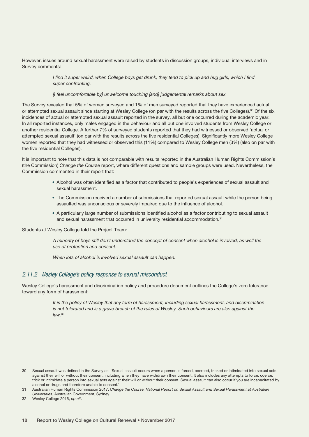<span id="page-17-0"></span>However, issues around sexual harassment were raised by students in discussion groups, individual interviews and in Survey comments:

> *I find it super weird, when College boys get drunk, they tend to pick up and hug girls, which I find super confronting.*

*[I feel uncomfortable by] unwelcome touching [and] judgemental remarks about sex.*

The Survey revealed that 5% of women surveyed and 1% of men surveyed reported that they have experienced actual or attempted sexual assault since starting at Wesley College (on par with the results across the five Colleges).<sup>30</sup> Of the six incidences of actual or attempted sexual assault reported in the survey, all but one occurred during the academic year. In all reported instances, only males engaged in the behaviour and all but one involved students from Wesley College or another residential College. A further 7% of surveyed students reported that they had witnessed or observed 'actual or attempted sexual assault' (on par with the results across the five residential Colleges). Significantly more Wesley College women reported that they had witnessed or observed this (11%) compared to Wesley College men (3%) (also on par with the five residential Colleges).

It is important to note that this data is not comparable with results reported in the Australian Human Rights Commission's (the Commission) *Change the Course* report, where different questions and sample groups were used. Nevertheless, the Commission commented in their report that:

- Alcohol was often identified as a factor that contributed to people's experiences of sexual assault and sexual harassment.
- The Commission received a number of submissions that reported sexual assault while the person being assaulted was unconscious or severely impaired due to the influence of alcohol.
- A particularly large number of submissions identified alcohol as a factor contributing to sexual assault and sexual harassment that occurred in university residential accommodation.<sup>31</sup>

Students at Wesley College told the Project Team:

*A minority of boys still don't understand the concept of consent when alcohol is involved, as well the use of protection and consent.*

*When lots of alcohol is involved sexual assault can happen.*

#### *2.11.2 Wesley College's policy response to sexual misconduct*

Wesley College's harassment and discrimination policy and procedure document outlines the College's zero tolerance toward any form of harassment:

> *It is the policy of Wesley that any form of harassment, including sexual harassment, and discrimination is not tolerated and is a grave breach of the rules of Wesley. Such behaviours are also against the law.*<sup>32</sup>

<sup>30</sup> Sexual assault was defined in the Survey as: 'Sexual assault occurs when a person is forced, coerced, tricked or intimidated into sexual acts against their will or without their consent, including when they have withdrawn their consent. It also includes any attempts to force, coerce, trick or intimidate a person into sexual acts against their will or without their consent. Sexual assault can also occur if you are incapacitated by alcohol or drugs and therefore unable to consent.'

<sup>31</sup> Australian Human Rights Commission 2017, *Change the Course: National Report on Sexual Assault and Sexual Harassment at Australian Universities*, Australian Government, Sydney.

<sup>32</sup> Wesley College 2015, *op cit*.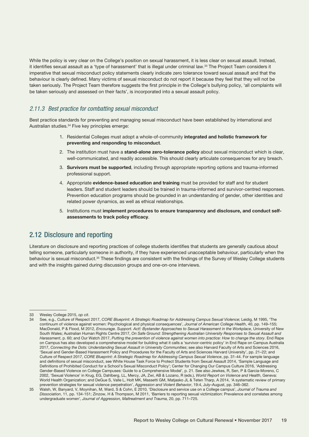<span id="page-18-0"></span>While the policy is very clear on the College's position on sexual harassment, it is less clear on sexual assault. Instead, it identifies sexual assault as a 'type of harassment' that is illegal under criminal law.33 The Project Team considers it imperative that sexual misconduct policy statements clearly indicate zero tolerance toward sexual assault and that the behaviour is clearly defined. Many victims of sexual misconduct do not report it because they feel that they will not be taken seriously. The Project Team therefore suggests the first principle in the College's bullying policy, 'all complaints will be taken seriously and assessed on their facts', is incorporated into a sexual assault policy.

#### *2.11.3 Best practice for combatting sexual misconduct*

Best practice standards for preventing and managing sexual misconduct have been established by international and Australian studies.34 Five key principles emerge:

- 1. Residential Colleges must adopt a whole-of-community integrated and holistic framework for preventing and responding to misconduct.
- 2. The institution must have a stand-alone zero-tolerance policy about sexual misconduct which is clear. well-communicated, and readily accessible. This should clearly articulate consequences for any breach.
- 3. Survivors must be supported, including through appropriate reporting options and trauma-informed professional support.
- 4. Appropriate evidence-based education and training must be provided for staff and for student leaders. Staff and student leaders should be trained in trauma-informed and survivor-centred responses. Prevention education programs should be grounded in an understanding of gender, other identities and related power dynamics, as well as ethical relationships.
- 5. Institutions must implement procedures to ensure transparency and disclosure, and conduct selfassessments to track policy efficacy.

### 2.12 Disclosure and reporting

Literature on disclosure and reporting practices of college students identifies that students are generally cautious about telling someone, particularly someone in authority, if they have experienced unacceptable behaviour, particularly when the behaviour is sexual misconduct.<sup>35</sup> These findings are consistent with the findings of the Survey of Wesley College students and with the insights gained during discussion groups and one-on-one interviews.

<sup>33</sup> Wesley College 2015, *op cit*.

<sup>34</sup> See, e.g., Culture of Respect 2017, *CORE Blueprint: A Strategic Roadmap for Addressing Campus Sexual Violence*; Leidig, M 1995, 'The continuum of violence against women: Psychological and physical consequences', *Journal of American College Health*, 40, pp. 149–155; MacDonald, P & Flood, M 2012, *Encourage. Support. Act!: Bystander Approaches to Sexual Harassment in the Workplace*, University of New South Wales; Australian Human Rights Centre 2017, *On Safe Ground: Strengthening Australian University Responses to Sexual Assault and Harassment*, p. 60; and Our Watch 2017, *Putting the prevention of violence against women into practice: How to change the story*. End Rape on Campus has also developed a comprehensive model for building what it calls a 'survivor-centric policy' in End Rape on Campus Australia 2017, *Connecting the Dots: Understanding Sexual Assault in University Communities*; see also Harvard Faculty of Arts and Sciences 2016, 'Sexual and Gender-Based Harassment Policy and Procedures for the Faculty of Arts and Sciences Harvard University', pp. 21–22; and Culture of Respect 2017, *CORE Blueprint: A Strategic Roadmap for Addressing Campus Sexual Violence*, pp. 31-44. For sample language and definitions of sexual misconduct, see White House Task Force to Protect Students from Sexual Assault 2014, 'Sample Language and Definitions of Prohibited Conduct for a School's Sexual Misconduct Policy'; Center for Changing Our Campus Culture 2016, 'Addressing Gender-Based Violence on College Campuses: Guide to a Comprehensive Model', p. 21. See also Jewkes, R, Sen, P & Garcia-Moreno, C 2002, 'Sexual Violence' in Krug, EG, Dahlberg, LL, Mercy, JA, Zwi, AB & Lozano, R (eds.), *World Report on Violence and Health*, Geneva: World Health Organization; and DeGue S, Valle L, Holt MK, Massetti GM, Matjasko JL & Teten Tharp, A 2014, 'A systematic review of primary prevention strategies for sexual violence perpetration', *Aggression and Violent Behavior*, 19:4, July–August, pp. 346–362.

<sup>35</sup> Walsh, W, Banyard, V, Moynihan, M, Ward, S & Cohn, E 2010, 'Disclosure and service use on a College campus', *Journal of Trauma and Dissociation*, 11, pp. 134-151; Zinzow, H & Thompson, M 2011, 'Barriers to reporting sexual victimization: Prevalence and correlates among undergraduate women', *Journal of Aggression, Maltreatment and Trauma*, 20, pp. 711–725.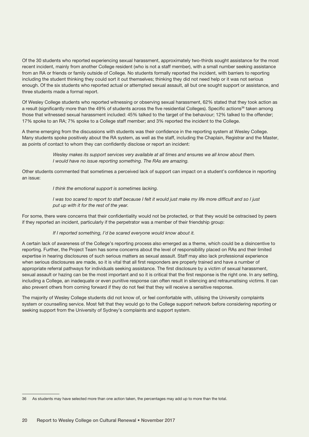Of the 30 students who reported experiencing sexual harassment, approximately two-thirds sought assistance for the most recent incident, mainly from another College resident (who is not a staff member), with a small number seeking assistance from an RA or friends or family outside of College. No students formally reported the incident, with barriers to reporting including the student thinking they could sort it out themselves; thinking they did not need help or it was not serious enough. Of the six students who reported actual or attempted sexual assault, all but one sought support or assistance, and three students made a formal report.

Of Wesley College students who reported witnessing or observing sexual harassment, 62% stated that they took action as a result (significantly more than the 49% of students across the five residential Colleges). Specific actions<sup>36</sup> taken among those that witnessed sexual harassment included: 45% talked to the target of the behaviour; 12% talked to the offender; 17% spoke to an RA; 7% spoke to a College staff member; and 3% reported the incident to the College.

A theme emerging from the discussions with students was their confidence in the reporting system at Wesley College. Many students spoke positively about the RA system, as well as the staff, including the Chaplain, Registrar and the Master, as points of contact to whom they can confidently disclose or report an incident:

> *Wesley makes its support services very available at all times and ensures we all know about them. I would have no issue reporting something. The RAs are amazing.*

Other students commented that sometimes a perceived lack of support can impact on a student's confidence in reporting an issue:

*I think the emotional support is sometimes lacking.*

*I was too scared to report to staff because I felt it would just make my life more difficult and so I just put up with it for the rest of the year.*

For some, there were concerns that their confidentiality would not be protected, or that they would be ostracised by peers if they reported an incident, particularly if the perpetrator was a member of their friendship group:

#### *If I reported something, I'd be scared everyone would know about it.*

A certain lack of awareness of the College's reporting process also emerged as a theme, which could be a disincentive to reporting. Further, the Project Team has some concerns about the level of responsibility placed on RAs and their limited expertise in hearing disclosures of such serious matters as sexual assault. Staff may also lack professional experience when serious disclosures are made, so it is vital that all first responders are properly trained and have a number of appropriate referral pathways for individuals seeking assistance. The first disclosure by a victim of sexual harassment, sexual assault or hazing can be the most important and so it is critical that the first response is the right one. In any setting, including a College, an inadequate or even punitive response can often result in silencing and retraumatising victims. It can also prevent others from coming forward if they do not feel that they will receive a sensitive response.

The majority of Wesley College students did not know of, or feel comfortable with, utilising the University complaints system or counselling service. Most felt that they would go to the College support network before considering reporting or seeking support from the University of Sydney's complaints and support system.

<sup>36</sup> As students may have selected more than one action taken, the percentages may add up to more than the total.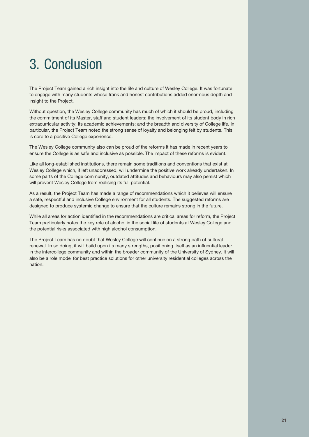# <span id="page-20-0"></span>3. Conclusion

The Project Team gained a rich insight into the life and culture of Wesley College. It was fortunate to engage with many students whose frank and honest contributions added enormous depth and insight to the Project.

Without question, the Wesley College community has much of which it should be proud, including the commitment of its Master, staff and student leaders; the involvement of its student body in rich extracurricular activity; its academic achievements; and the breadth and diversity of College life. In particular, the Project Team noted the strong sense of loyalty and belonging felt by students. This is core to a positive College experience.

The Wesley College community also can be proud of the reforms it has made in recent years to ensure the College is as safe and inclusive as possible. The impact of these reforms is evident.

Like all long-established institutions, there remain some traditions and conventions that exist at Wesley College which, if left unaddressed, will undermine the positive work already undertaken. In some parts of the College community, outdated attitudes and behaviours may also persist which will prevent Wesley College from realising its full potential.

As a result, the Project Team has made a range of recommendations which it believes will ensure a safe, respectful and inclusive College environment for all students. The suggested reforms are designed to produce systemic change to ensure that the culture remains strong in the future.

While all areas for action identified in the recommendations are critical areas for reform, the Project Team particularly notes the key role of alcohol in the social life of students at Wesley College and the potential risks associated with high alcohol consumption.

The Project Team has no doubt that Wesley College will continue on a strong path of cultural renewal. In so doing, it will build upon its many strengths, positioning itself as an influential leader in the intercollege community and within the broader community of the University of Sydney. It will also be a role model for best practice solutions for other university residential colleges across the nation.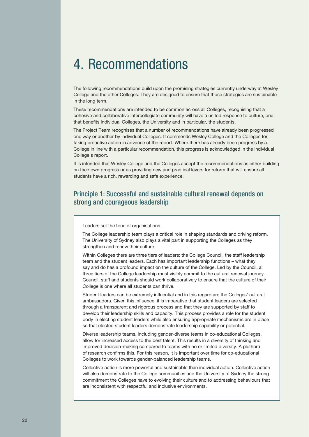## <span id="page-21-0"></span>4. Recommendations

The following recommendations build upon the promising strategies currently underway at Wesley College and the other Colleges. They are designed to ensure that those strategies are sustainable in the long term.

These recommendations are intended to be common across all Colleges, recognising that a cohesive and collaborative intercollegiate community will have a united response to culture, one that benefits individual Colleges, the University and in particular, the students.

The Project Team recognises that a number of recommendations have already been progressed one way or another by individual Colleges. It commends Wesley College and the Colleges for taking proactive action in advance of the report. Where there has already been progress by a College in line with a particular recommendation, this progress is acknowledged in the individual College's report.

It is intended that Wesley College and the Colleges accept the recommendations as either building on their own progress or as providing new and practical levers for reform that will ensure all students have a rich, rewarding and safe experience.

## Principle 1: Successful and sustainable cultural renewal depends on strong and courageous leadership

Leaders set the tone of organisations.

The College leadership team plays a critical role in shaping standards and driving reform. The University of Sydney also plays a vital part in supporting the Colleges as they strengthen and renew their culture.

Within Colleges there are three tiers of leaders: the College Council, the staff leadership team and the student leaders. Each has important leadership functions – what they say and do has a profound impact on the culture of the College. Led by the Council, all three tiers of the College leadership must visibly commit to the cultural renewal journey. Council, staff and students should work collaboratively to ensure that the culture of their College is one where all students can thrive.

Student leaders can be extremely influential and in this regard are the Colleges' cultural ambassadors. Given this influence, it is imperative that student leaders are selected through a transparent and rigorous process and that they are supported by staff to develop their leadership skills and capacity. This process provides a role for the student body in electing student leaders while also ensuring appropriate mechanisms are in place so that elected student leaders demonstrate leadership capability or potential.

Diverse leadership teams, including gender-diverse teams in co-educational Colleges, allow for increased access to the best talent. This results in a diversity of thinking and improved decision-making compared to teams with no or limited diversity. A plethora of research confirms this. For this reason, it is important over time for co-educational Colleges to work towards gender-balanced leadership teams.

Collective action is more powerful and sustainable than individual action. Collective action will also demonstrate to the College communities and the University of Sydney the strong commitment the Colleges have to evolving their culture and to addressing behaviours that are inconsistent with respectful and inclusive environments.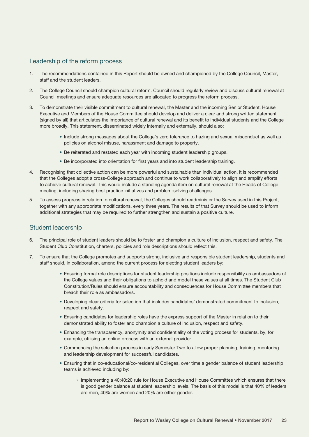#### Leadership of the reform process

- 1. The recommendations contained in this Report should be owned and championed by the College Council, Master, staff and the student leaders.
- 2. The College Council should champion cultural reform. Council should regularly review and discuss cultural renewal at Council meetings and ensure adequate resources are allocated to progress the reform process.
- 3. To demonstrate their visible commitment to cultural renewal, the Master and the incoming Senior Student, House Executive and Members of the House Committee should develop and deliver a clear and strong written statement (signed by all) that articulates the importance of cultural renewal and its benefit to individual students and the College more broadly. This statement, disseminated widely internally and externally, should also:
	- Include strong messages about the College's zero tolerance to hazing and sexual misconduct as well as policies on alcohol misuse, harassment and damage to property.
	- Be reiterated and restated each year with incoming student leadership groups.
	- Be incorporated into orientation for first years and into student leadership training.
- 4. Recognising that collective action can be more powerful and sustainable than individual action, it is recommended that the Colleges adopt a cross-College approach and continue to work collaboratively to align and amplify efforts to achieve cultural renewal. This would include a standing agenda item on cultural renewal at the Heads of College meeting, including sharing best practice initiatives and problem-solving challenges.
- 5. To assess progress in relation to cultural renewal, the Colleges should readminister the Survey used in this Project, together with any appropriate modifications, every three years. The results of that Survey should be used to inform additional strategies that may be required to further strengthen and sustain a positive culture.

#### Student leadership

- 6. The principal role of student leaders should be to foster and champion a culture of inclusion, respect and safety. The Student Club Constitution, charters, policies and role descriptions should reflect this.
- 7. To ensure that the College promotes and supports strong, inclusive and responsible student leadership, students and staff should, in collaboration, amend the current process for electing student leaders by:
	- Ensuring formal role descriptions for student leadership positions include responsibility as ambassadors of the College values and their obligations to uphold and model these values at all times. The Student Club Constitution/Rules should ensure accountability and consequences for House Committee members that breach their role as ambassadors.
	- Developing clear criteria for selection that includes candidates' demonstrated commitment to inclusion, respect and safety.
	- Ensuring candidates for leadership roles have the express support of the Master in relation to their demonstrated ability to foster and champion a culture of inclusion, respect and safety.
	- Enhancing the transparency, anonymity and confidentiality of the voting process for students, by, for example, utilising an online process with an external provider.
	- Commencing the selection process in early Semester Two to allow proper planning, training, mentoring and leadership development for successful candidates.
	- Ensuring that in co-educational/co-residential Colleges, over time a gender balance of student leadership teams is achieved including by:
		- » Implementing a 40:40:20 rule for House Executive and House Committee which ensures that there is good gender balance at student leadership levels. The basis of this model is that 40% of leaders are men, 40% are women and 20% are either gender.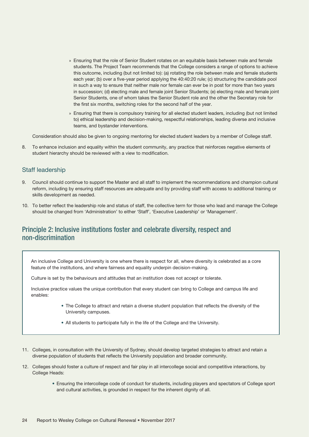- » Ensuring that the role of Senior Student rotates on an equitable basis between male and female students. The Project Team recommends that the College considers a range of options to achieve this outcome, including (but not limited to): (a) rotating the role between male and female students each year; (b) over a five-year period applying the 40:40:20 rule; (c) structuring the candidate pool in such a way to ensure that neither male nor female can ever be in post for more than two years in succession; (d) electing male and female joint Senior Students; (e) electing male and female joint Senior Students, one of whom takes the Senior Student role and the other the Secretary role for the first six months, switching roles for the second half of the year.
- » Ensuring that there is compulsory training for all elected student leaders, including (but not limited to) ethical leadership and decision-making, respectful relationships, leading diverse and inclusive teams, and bystander interventions.

Consideration should also be given to ongoing mentoring for elected student leaders by a member of College staff.

8. To enhance inclusion and equality within the student community, any practice that reinforces negative elements of student hierarchy should be reviewed with a view to modification.

#### Staff leadership

- 9. Council should continue to support the Master and all staff to implement the recommendations and champion cultural reform, including by ensuring staff resources are adequate and by providing staff with access to additional training or skills development as needed.
- 10. To better reflect the leadership role and status of staff, the collective term for those who lead and manage the College should be changed from 'Administration' to either 'Staff', 'Executive Leadership' or 'Management'.

### Principle 2: Inclusive institutions foster and celebrate diversity, respect and non‑discrimination

An inclusive College and University is one where there is respect for all, where diversity is celebrated as a core feature of the institutions, and where fairness and equality underpin decision-making.

Culture is set by the behaviours and attitudes that an institution does not accept or tolerate.

Inclusive practice values the unique contribution that every student can bring to College and campus life and enables:

- The College to attract and retain a diverse student population that reflects the diversity of the University campuses.
- All students to participate fully in the life of the College and the University.
- 11. Colleges, in consultation with the University of Sydney, should develop targeted strategies to attract and retain a diverse population of students that reflects the University population and broader community.
- 12. Colleges should foster a culture of respect and fair play in all intercollege social and competitive interactions, by College Heads:
	- Ensuring the intercollege code of conduct for students, including players and spectators of College sport and cultural activities, is grounded in respect for the inherent dignity of all.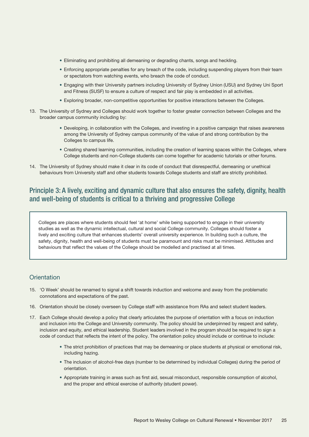- Eliminating and prohibiting all demeaning or degrading chants, songs and heckling.
- Enforcing appropriate penalties for any breach of the code, including suspending players from their team or spectators from watching events, who breach the code of conduct.
- Engaging with their University partners including University of Sydney Union (USU) and Sydney Uni Sport and Fitness (SUSF) to ensure a culture of respect and fair play is embedded in all activities.
- Exploring broader, non-competitive opportunities for positive interactions between the Colleges.
- 13. The University of Sydney and Colleges should work together to foster greater connection between Colleges and the broader campus community including by:
	- Developing, in collaboration with the Colleges, and investing in a positive campaign that raises awareness among the University of Sydney campus community of the value of and strong contribution by the Colleges to campus life.
	- Creating shared learning communities, including the creation of learning spaces within the Colleges, where College students and non-College students can come together for academic tutorials or other forums.
- 14. The University of Sydney should make it clear in its code of conduct that disrespectful, demeaning or unethical behaviours from University staff and other students towards College students and staff are strictly prohibited.

## Principle 3: A lively, exciting and dynamic culture that also ensures the safety, dignity, health and well-being of students is critical to a thriving and progressive College

Colleges are places where students should feel 'at home' while being supported to engage in their university studies as well as the dynamic intellectual, cultural and social College community. Colleges should foster a lively and exciting culture that enhances students' overall university experience. In building such a culture, the safety, dignity, health and well-being of students must be paramount and risks must be minimised. Attitudes and behaviours that reflect the values of the College should be modelled and practised at all times.

#### **Orientation**

- 15. 'O Week' should be renamed to signal a shift towards induction and welcome and away from the problematic connotations and expectations of the past.
- 16. Orientation should be closely overseen by College staff with assistance from RAs and select student leaders.
- 17. Each College should develop a policy that clearly articulates the purpose of orientation with a focus on induction and inclusion into the College and University community. The policy should be underpinned by respect and safety, inclusion and equity, and ethical leadership. Student leaders involved in the program should be required to sign a code of conduct that reflects the intent of the policy. The orientation policy should include or continue to include:
	- The strict prohibition of practices that may be demeaning or place students at physical or emotional risk, including hazing.
	- The inclusion of alcohol-free days (number to be determined by individual Colleges) during the period of orientation.
	- Appropriate training in areas such as first aid, sexual misconduct, responsible consumption of alcohol, and the proper and ethical exercise of authority (student power).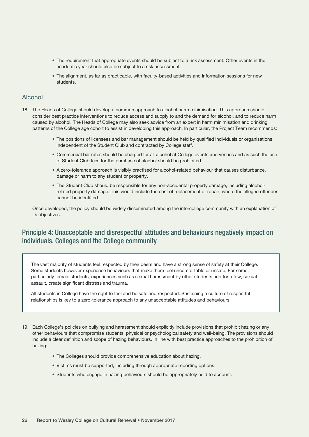- The requirement that appropriate events should be subject to a risk assessment. Other events in the academic year should also be subject to a risk assessment.
- The alignment, as far as practicable, with faculty-based activities and information sessions for new students.

#### Alcohol

- 18. The Heads of College should develop a common approach to alcohol harm minimisation. This approach should consider best practice interventions to reduce access and supply to and the demand for alcohol, and to reduce harm caused by alcohol. The Heads of College may also seek advice from an expert in harm minimisation and drinking patterns of the College age cohort to assist in developing this approach. In particular, the Project Team recommends:
	- The positions of licensees and bar management should be held by qualified individuals or organisations independent of the Student Club and contracted by College staff.
	- Commercial bar rates should be charged for all alcohol at College events and venues and as such the use of Student Club fees for the purchase of alcohol should be prohibited.
	- A zero-tolerance approach is visibly practised for alcohol-related behaviour that causes disturbance, damage or harm to any student or property.
	- The Student Club should be responsible for any non-accidental property damage, including alcoholrelated property damage. This would include the cost of replacement or repair, where the alleged offender cannot be identified.

Once developed, the policy should be widely disseminated among the intercollege community with an explanation of its objectives.

## Principle 4: Unacceptable and disrespectful attitudes and behaviours negatively impact on individuals, Colleges and the College community

The vast majority of students feel respected by their peers and have a strong sense of safety at their College. Some students however experience behaviours that make them feel uncomfortable or unsafe. For some, particularly female students, experiences such as sexual harassment by other students and for a few, sexual assault, create significant distress and trauma.

All students in College have the right to feel and be safe and respected. Sustaining a culture of respectful relationships is key to a zero-tolerance approach to any unacceptable attitudes and behaviours.

- 19. Each College's policies on bullying and harassment should explicitly include provisions that prohibit hazing or any other behaviours that compromise students' physical or psychological safety and well-being. The provisions should include a clear definition and scope of hazing behaviours. In line with best practice approaches to the prohibition of hazing:
	- The Colleges should provide comprehensive education about hazing.
	- Victims must be supported, including through appropriate reporting options.
	- Students who engage in hazing behaviours should be appropriately held to account.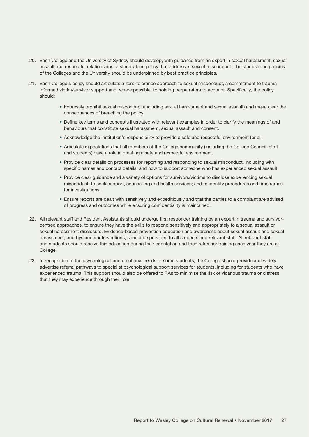- 20. Each College and the University of Sydney should develop, with guidance from an expert in sexual harassment, sexual assault and respectful relationships, a stand-alone policy that addresses sexual misconduct. The stand-alone policies of the Colleges and the University should be underpinned by best practice principles.
- 21. Each College's policy should articulate a zero-tolerance approach to sexual misconduct, a commitment to trauma informed victim/survivor support and, where possible, to holding perpetrators to account. Specifically, the policy should:
	- Expressly prohibit sexual misconduct (including sexual harassment and sexual assault) and make clear the consequences of breaching the policy.
	- Define key terms and concepts illustrated with relevant examples in order to clarify the meanings of and behaviours that constitute sexual harassment, sexual assault and consent.
	- Acknowledge the institution's responsibility to provide a safe and respectful environment for all.
	- Articulate expectations that all members of the College community (including the College Council, staff and students) have a role in creating a safe and respectful environment.
	- Provide clear details on processes for reporting and responding to sexual misconduct, including with specific names and contact details, and how to support someone who has experienced sexual assault.
	- Provide clear guidance and a variety of options for survivors/victims to disclose experiencing sexual misconduct; to seek support, counselling and health services; and to identify procedures and timeframes for investigations.
	- Ensure reports are dealt with sensitively and expeditiously and that the parties to a complaint are advised of progress and outcomes while ensuring confidentiality is maintained.
- 22. All relevant staff and Resident Assistants should undergo first responder training by an expert in trauma and survivorcentred approaches, to ensure they have the skills to respond sensitively and appropriately to a sexual assault or sexual harassment disclosure. Evidence-based prevention education and awareness about sexual assault and sexual harassment, and bystander interventions, should be provided to all students and relevant staff. All relevant staff and students should receive this education during their orientation and then refresher training each year they are at College.
- 23. In recognition of the psychological and emotional needs of some students, the College should provide and widely advertise referral pathways to specialist psychological support services for students, including for students who have experienced trauma. This support should also be offered to RAs to minimise the risk of vicarious trauma or distress that they may experience through their role.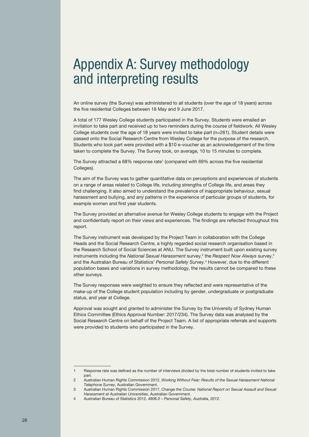## <span id="page-27-0"></span>Appendix A: Survey methodology and interpreting results

An online survey (the Survey) was administered to all students (over the age of 18 years) across the five residential Colleges between 18 May and 9 June 2017.

A total of 177 Wesley College students participated in the Survey. Students were emailed an invitation to take part and received up to two reminders during the course of fieldwork. All Wesley College students over the age of 18 years were invited to take part (n=261). Student details were passed onto the Social Research Centre from Wesley College for the purpose of the research. Students who took part were provided with a \$10 e-voucher as an acknowledgement of the time taken to complete the Survey. The Survey took, on average, 10 to 15 minutes to complete.

The Survey attracted a 68% response rate<sup>1</sup> (compared with 69% across the five residential Colleges).

The aim of the Survey was to gather quantitative data on perceptions and experiences of students on a range of areas related to College life, including strengths of College life, and areas they find challenging. It also aimed to understand the prevalence of inappropriate behaviour, sexual harassment and bullying, and any patterns in the experience of particular groups of students, for example women and first year students.

The Survey provided an alternative avenue for Wesley College students to engage with the Project and confidentially report on their views and experiences. The findings are reflected throughout this report.

The Survey instrument was developed by the Project Team in collaboration with the College Heads and the Social Research Centre, a highly regarded social research organisation based in the Research School of Social Sciences at ANU. The Survey instrument built upon existing survey instruments including the *National Sexual Harassment* survey,<sup>2</sup> the *Respect Now Always* survey,<sup>3</sup> and the Australian Bureau of Statistics' *Personal Safety Survey*. 4 However, due to the different population bases and variations in survey methodology, the results cannot be compared to these other surveys.

The Survey responses were weighted to ensure they reflected and were representative of the make-up of the College student population including by gender, undergraduate or postgraduate status, and year at College.

Approval was sought and granted to administer the Survey by the University of Sydney Human Ethics Committee (Ethics Approval Number: 2017/234). The Survey data was analysed by the Social Research Centre on behalf of the Project Team. A list of appropriate referrals and supports were provided to students who participated in the Survey.

<sup>1</sup> Response rate was defined as the number of interviews divided by the total number of students invited to take part.

<sup>2</sup> Australian Human Rights Commission 2012, *Working Without Fear: Results of the Sexual Harassment National Telephone Survey*, Australian Government.

<sup>3</sup> Australian Human Rights Commission 2017, *Change the Course: National Report on Sexual Assault and Sexual Harassment at Australian Universities*, Australian Government.

<sup>4</sup> Australian Bureau of Statistics 2012, *4906.0 – Personal Safety, Australia, 2012*.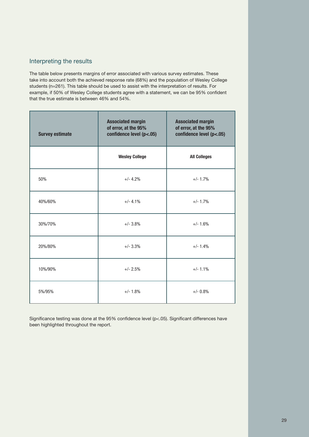#### Interpreting the results

The table below presents margins of error associated with various survey estimates. These take into account both the achieved response rate (68%) and the population of Wesley College students (n=261). This table should be used to assist with the interpretation of results. For example, if 50% of Wesley College students agree with a statement, we can be 95% confident that the true estimate is between 46% and 54%.

| <b>Survey estimate</b> | <b>Associated margin</b><br>of error, at the 95%<br>confidence level (p<.05) | <b>Associated margin</b><br>of error, at the 95%<br>confidence level (p<.05) |
|------------------------|------------------------------------------------------------------------------|------------------------------------------------------------------------------|
|                        | <b>Wesley College</b>                                                        | <b>All Colleges</b>                                                          |
| 50%                    | $+/- 4.2%$                                                                   | $+/- 1.7%$                                                                   |
| 40%/60%                | $+/- 4.1%$                                                                   | $+/- 1.7%$                                                                   |
| 30%/70%                | $+/- 3.8%$                                                                   | $+/- 1.6%$                                                                   |
| 20%/80%                | $+/- 3.3%$                                                                   | $+/- 1.4%$                                                                   |
| 10%/90%                | $+/- 2.5%$                                                                   | $+/- 1.1%$                                                                   |
| 5%/95%                 | $+/- 1.8%$                                                                   | $+/- 0.8%$                                                                   |

Significance testing was done at the 95% confidence level (p<.05). Significant differences have been highlighted throughout the report.